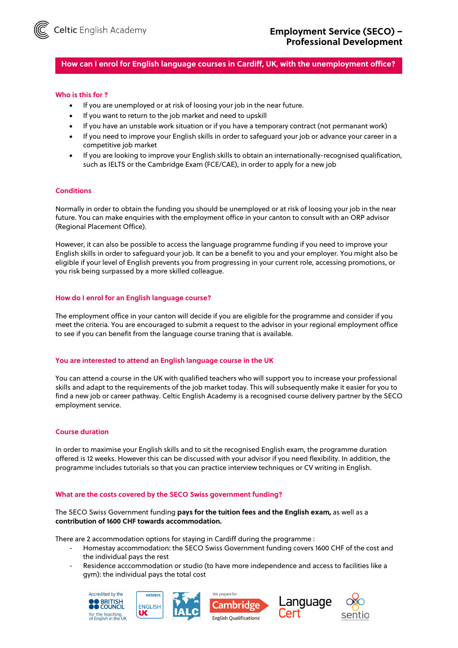

**How can I enrol for English language courses in Cardiff, UK, with the unemployment office?**

### **Who is this for ?**

- If you are unemployed or at risk of loosing your job in the near future.
- If you want to return to the job market and need to upskill
- If you have an unstable work situation or if you have a temporary contract (not permanant work)
- If you need to improve your English skills in order to safeguard your job or advance your career in a competitive job market
- If you are looking to improve your English skills to obtain an internationally-recognised qualification, such as IELTS or the Cambridge Exam (FCE/CAE), in order to apply for a new job

### **Conditions**

Normally in order to obtain the funding you should be unemployed or at risk of loosing your job in the near future. You can make enquiries with the employment office in your canton to consult with an ORP advisor (Regional Placement Office).

However, it can also be possible to access the language programme funding if you need to improve your English skills in order to safeguard your job. It can be a benefit to you and your employer. You might also be eligible if your level of English prevents you from progressing in your current role, accessing promotions, or you risk being surpassed by a more skilled colleague.

### **How do I enrol for an English language course?**

The employment office in your canton will decide if you are eligible for the programme and consider if you meet the criteria. You are encouraged to submit a request to the advisor in your regional employment office to see if you can benefit from the language course traning that is available.

#### **You are interested to attend an English language course in the UK**

You can attend a course in the UK with qualified teachers who will support you to increase your professional skills and adapt to the requirements of the job market today. This will subsequently make it easier for you to find a new job or career pathway. Celtic English Academy is a recognised course delivery partner by the SECO employment service.

### **Course duration**

In order to maximise your English skills and to sit the recognised English exam, the programme duration offered is 12 weeks. However this can be discussed with your advisor if you need flexibility. In addition, the programme includes tutorials so that you can practice interview techniques or CV writing in English.

#### **What are the costs covered by the SECO Swiss government funding?**

### The SECO Swiss Government funding **pays for the tuition fees and the English exam,** as well as a **contribution of 1600 CHF towards accommodation.**

There are 2 accommodation options for staying in Cardiff during the programme :

- Homestay accommodation: the SECO Swiss Government funding covers 1600 CHF of the cost and the individual pays the rest
- Residence acccommodation or studio (to have more independence and access to facilities like a gym): the individual pays the total cost